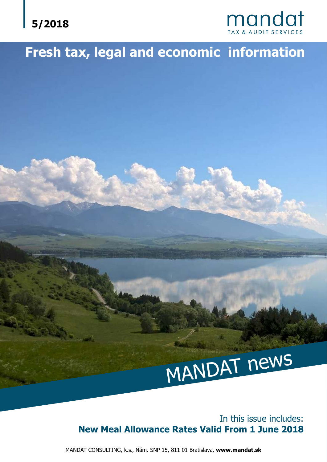



### **Fresh tax, legal and economic information**

# MANDAT news

#### In this issue includes: **New Meal Allowance Rates Valid From 1 June 2018**

MANDAT CONSULTING, k.s., Nám. SNP 15, 811 01 Bratislava, **www.mandat.sk**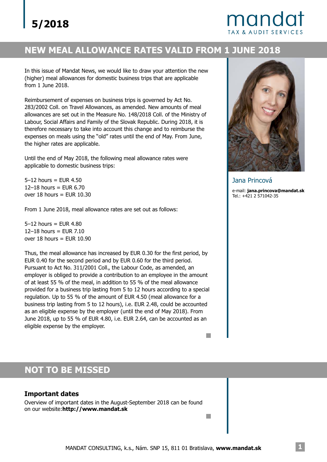## mandat

#### **NEW MEAL ALLOWANCE RATES VALID FROM 1 JUNE 2018**

In this issue of Mandat News, we would like to draw your attention the new (higher) meal allowances for domestic business trips that are applicable from 1 June 2018.

Reimbursement of expenses on business trips is governed by Act No. 283/2002 Coll. on Travel Allowances, as amended. New amounts of meal allowances are set out in the Measure No. 148/2018 Coll. of the Ministry of Labour, Social Affairs and Family of the Slovak Republic. During 2018, it is therefore necessary to take into account this change and to reimburse the expenses on meals using the "old" rates until the end of May. From June, the higher rates are applicable.

Until the end of May 2018, the following meal allowance rates were applicable to domestic business trips:

 $5-12$  hours = EUR 4.50 12–18 hours =  $EUR 6.70$ over 18 hours  $=$  EUR 10.30

From 1 June 2018, meal allowance rates are set out as follows:

 $5-12$  hours = FUR 4.80  $12-18$  hours = EUR 7.10 over  $18$  hours = EUR  $10.90$ 

Thus, the meal allowance has increased by EUR 0.30 for the first period, by EUR 0.40 for the second period and by EUR 0.60 for the third period. Pursuant to Act No. 311/2001 Coll., the Labour Code, as amended, an employer is obliged to provide a contribution to an employee in the amount of at least 55 % of the meal, in addition to 55 % of the meal allowance provided for a business trip lasting from 5 to 12 hours according to a special regulation. Up to 55 % of the amount of EUR 4.50 (meal allowance for a business trip lasting from 5 to 12 hours), i.e. EUR 2.48, could be accounted as an eligible expense by the employer (until the end of May 2018). From June 2018, up to 55 % of EUR 4.80, i.e. EUR 2.64, can be accounted as an eligible expense by the employer.

Jana Princová

e-mail: **jana.princova@mandat.sk**Tel.: +421 2 571042-35

#### **NOT TO BE MISSED**

#### **Important dates**

Overview of important dates in the August-September 2018 can be found on our website:**http://www.mandat.sk**

П

 $\mathbb{R}^n$